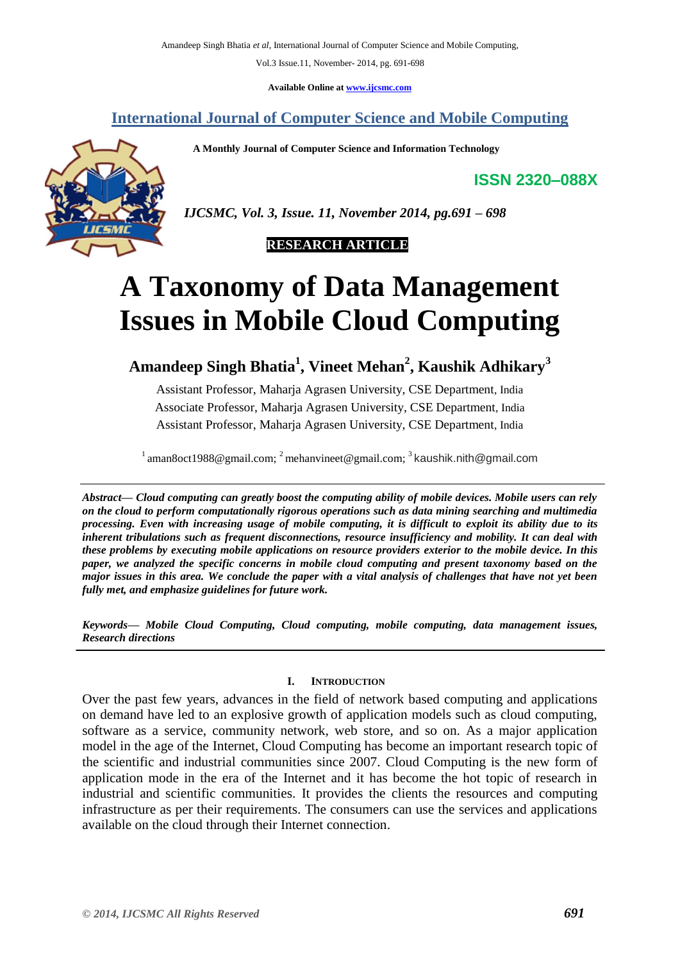Vol.3 Issue.11, November- 2014, pg. 691-698

**Available Online at [www.ijcsmc.com](http://www.ijcsmc.com/)**

# **International Journal of Computer Science and Mobile Computing**

 **A Monthly Journal of Computer Science and Information Technology**





 *IJCSMC, Vol. 3, Issue. 11, November 2014, pg.691 – 698*



# **A Taxonomy of Data Management Issues in Mobile Cloud Computing**

**Amandeep Singh Bhatia<sup>1</sup> , Vineet Mehan<sup>2</sup> , Kaushik Adhikary<sup>3</sup>**

Assistant Professor, Maharja Agrasen University, CSE Department, India Associate Professor, Maharja Agrasen University, CSE Department, India Assistant Professor, Maharja Agrasen University, CSE Department, India

<sup>1</sup> aman8oct1988@gmail.com; <sup>2</sup> mehanvineet@gmail.com; <sup>3</sup> kaushik.nith@gmail.com

*Abstract— Cloud computing can greatly boost the computing ability of mobile devices. Mobile users can rely on the cloud to perform computationally rigorous operations such as data mining searching and multimedia processing. Even with increasing usage of mobile computing, it is difficult to exploit its ability due to its inherent tribulations such as frequent disconnections, resource insufficiency and mobility. It can deal with these problems by executing mobile applications on resource providers exterior to the mobile device. In this paper, we analyzed the specific concerns in mobile cloud computing and present taxonomy based on the major issues in this area. We conclude the paper with a vital analysis of challenges that have not yet been fully met, and emphasize guidelines for future work.*

*Keywords— Mobile Cloud Computing, Cloud computing, mobile computing, data management issues, Research directions*

#### **I. INTRODUCTION**

Over the past few years, advances in the field of network based computing and applications on demand have led to an explosive growth of application models such as cloud computing, software as a service, community network, web store, and so on. As a major application model in the age of the Internet, Cloud Computing has become an important research topic of the scientific and industrial communities since 2007. Cloud Computing is the new form of application mode in the era of the Internet and it has become the hot topic of research in industrial and scientific communities. It provides the clients the resources and computing infrastructure as per their requirements. The consumers can use the services and applications available on the cloud through their Internet connection.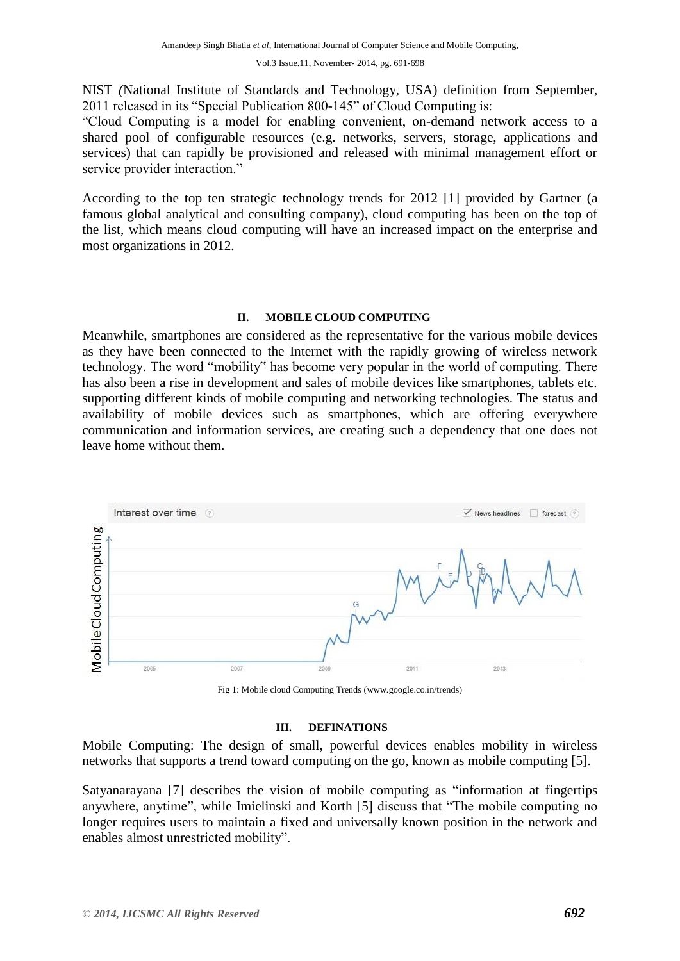NIST *(*National Institute of Standards and Technology, USA) definition from September, 2011 released in its "Special Publication 800-145" of Cloud Computing is:

"Cloud Computing is a model for enabling convenient, on-demand network access to a shared pool of configurable resources (e.g. networks, servers, storage, applications and services) that can rapidly be provisioned and released with minimal management effort or service provider interaction."

According to the top ten strategic technology trends for 2012 [1] provided by Gartner (a famous global analytical and consulting company), cloud computing has been on the top of the list, which means cloud computing will have an increased impact on the enterprise and most organizations in 2012.

#### **II. MOBILE CLOUD COMPUTING**

Meanwhile, smartphones are considered as the representative for the various mobile devices as they have been connected to the Internet with the rapidly growing of wireless network technology. The word "mobility" has become very popular in the world of computing. There has also been a rise in development and sales of mobile devices like smartphones, tablets etc. supporting different kinds of mobile computing and networking technologies. The status and availability of mobile devices such as smartphones, which are offering everywhere communication and information services, are creating such a dependency that one does not leave home without them.



Fig 1: Mobile cloud Computing Trends (www.google.co.in/trends)

# **III. DEFINATIONS**

Mobile Computing: The design of small, powerful devices enables mobility in wireless networks that supports a trend toward computing on the go, known as mobile computing [5].

Satyanarayana [7] describes the vision of mobile computing as "information at fingertips anywhere, anytime", while Imielinski and Korth [5] discuss that "The mobile computing no longer requires users to maintain a fixed and universally known position in the network and enables almost unrestricted mobility".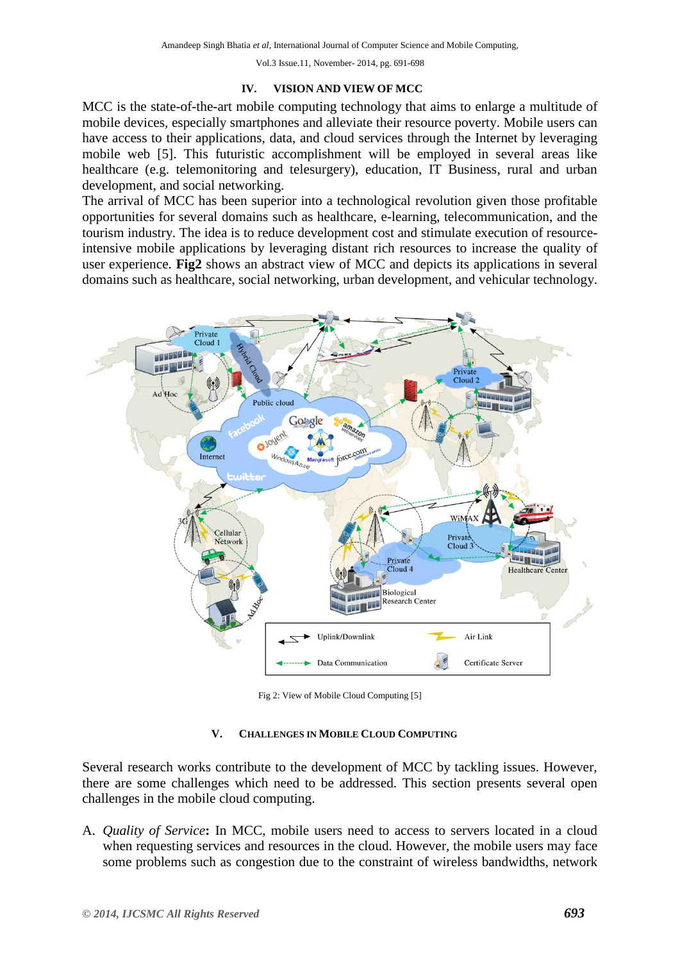Vol.3 Issue.11, November- 2014, pg. 691-698

#### **IV. VISION AND VIEW OF MCC**

MCC is the state-of-the-art mobile computing technology that aims to enlarge a multitude of mobile devices, especially smartphones and alleviate their resource poverty. Mobile users can have access to their applications, data, and cloud services through the Internet by leveraging mobile web [5]. This futuristic accomplishment will be employed in several areas like healthcare (e.g. telemonitoring and telesurgery), education, IT Business, rural and urban development, and social networking.

The arrival of MCC has been superior into a technological revolution given those profitable opportunities for several domains such as healthcare, e-learning, telecommunication, and the tourism industry. The idea is to reduce development cost and stimulate execution of resourceintensive mobile applications by leveraging distant rich resources to increase the quality of user experience. **Fig2** shows an abstract view of MCC and depicts its applications in several domains such as healthcare, social networking, urban development, and vehicular technology.



Fig 2: View of Mobile Cloud Computing [5]

#### **V. CHALLENGES IN MOBILE CLOUD COMPUTING**

Several research works contribute to the development of MCC by tackling issues. However, there are some challenges which need to be addressed. This section presents several open challenges in the mobile cloud computing.

A. *Quality of Service***:** In MCC, mobile users need to access to servers located in a cloud when requesting services and resources in the cloud. However, the mobile users may face some problems such as congestion due to the constraint of wireless bandwidths, network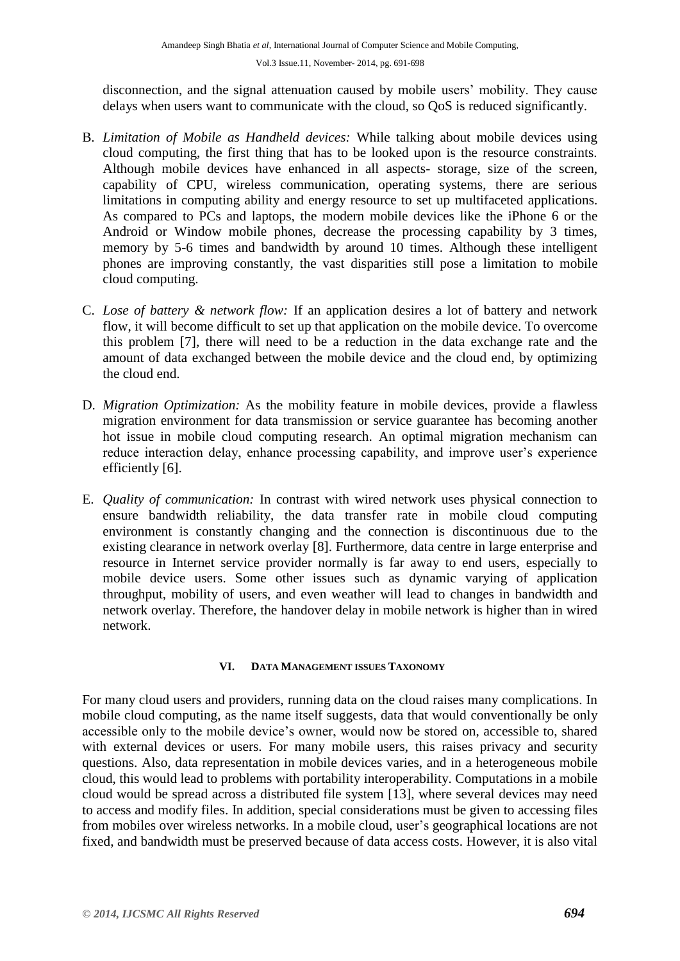disconnection, and the signal attenuation caused by mobile users' mobility. They cause delays when users want to communicate with the cloud, so QoS is reduced significantly.

- B. *Limitation of Mobile as Handheld devices:* While talking about mobile devices using cloud computing, the first thing that has to be looked upon is the resource constraints. Although mobile devices have enhanced in all aspects- storage, size of the screen, capability of CPU, wireless communication, operating systems, there are serious limitations in computing ability and energy resource to set up multifaceted applications. As compared to PCs and laptops, the modern mobile devices like the iPhone 6 or the Android or Window mobile phones, decrease the processing capability by 3 times, memory by 5-6 times and bandwidth by around 10 times. Although these intelligent phones are improving constantly, the vast disparities still pose a limitation to mobile cloud computing.
- C. *Lose of battery & network flow:* If an application desires a lot of battery and network flow, it will become difficult to set up that application on the mobile device. To overcome this problem [7], there will need to be a reduction in the data exchange rate and the amount of data exchanged between the mobile device and the cloud end, by optimizing the cloud end.
- D. *Migration Optimization:* As the mobility feature in mobile devices, provide a flawless migration environment for data transmission or service guarantee has becoming another hot issue in mobile cloud computing research. An optimal migration mechanism can reduce interaction delay, enhance processing capability, and improve user's experience efficiently [6].
- E. *Quality of communication:* In contrast with wired network uses physical connection to ensure bandwidth reliability, the data transfer rate in mobile cloud computing environment is constantly changing and the connection is discontinuous due to the existing clearance in network overlay [8]. Furthermore, data centre in large enterprise and resource in Internet service provider normally is far away to end users, especially to mobile device users. Some other issues such as dynamic varying of application throughput, mobility of users, and even weather will lead to changes in bandwidth and network overlay. Therefore, the handover delay in mobile network is higher than in wired network.

# **VI. DATA MANAGEMENT ISSUES TAXONOMY**

For many cloud users and providers, running data on the cloud raises many complications. In mobile cloud computing, as the name itself suggests, data that would conventionally be only accessible only to the mobile device's owner, would now be stored on, accessible to, shared with external devices or users. For many mobile users, this raises privacy and security questions. Also, data representation in mobile devices varies, and in a heterogeneous mobile cloud, this would lead to problems with portability interoperability. Computations in a mobile cloud would be spread across a distributed file system [13], where several devices may need to access and modify files. In addition, special considerations must be given to accessing files from mobiles over wireless networks. In a mobile cloud, user"s geographical locations are not fixed, and bandwidth must be preserved because of data access costs. However, it is also vital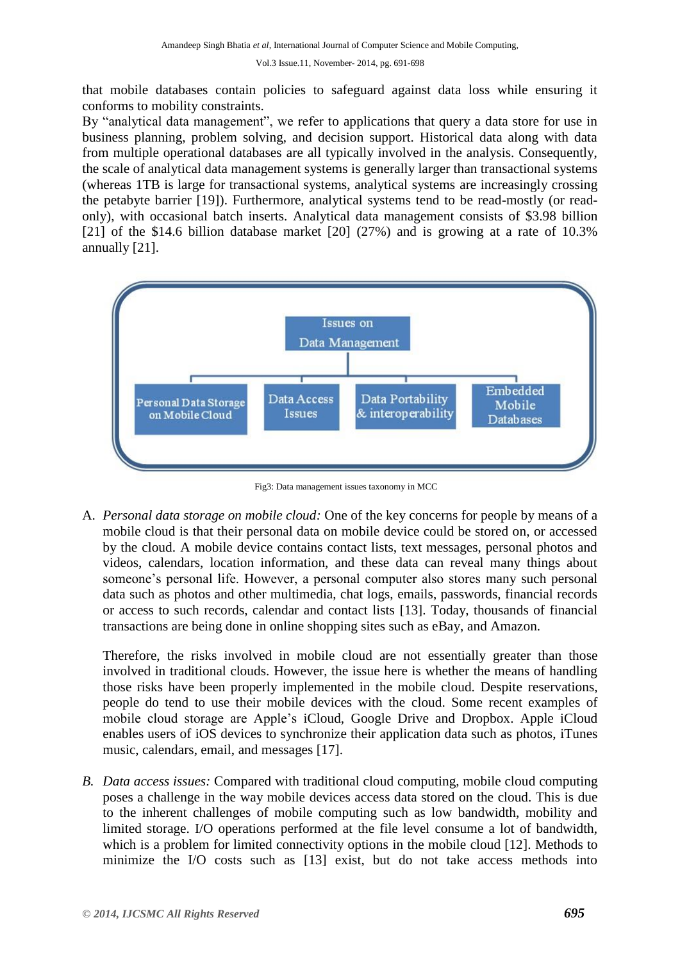that mobile databases contain policies to safeguard against data loss while ensuring it conforms to mobility constraints.

By "analytical data management", we refer to applications that query a data store for use in business planning, problem solving, and decision support. Historical data along with data from multiple operational databases are all typically involved in the analysis. Consequently, the scale of analytical data management systems is generally larger than transactional systems (whereas 1TB is large for transactional systems, analytical systems are increasingly crossing the petabyte barrier [19]). Furthermore, analytical systems tend to be read-mostly (or readonly), with occasional batch inserts. Analytical data management consists of \$3.98 billion [21] of the \$14.6 billion database market [20] (27%) and is growing at a rate of 10.3% annually [21].



Fig3: Data management issues taxonomy in MCC

A. *Personal data storage on mobile cloud:* One of the key concerns for people by means of a mobile cloud is that their personal data on mobile device could be stored on, or accessed by the cloud. A mobile device contains contact lists, text messages, personal photos and videos, calendars, location information, and these data can reveal many things about someone's personal life. However, a personal computer also stores many such personal data such as photos and other multimedia, chat logs, emails, passwords, financial records or access to such records, calendar and contact lists [13]. Today, thousands of financial transactions are being done in online shopping sites such as eBay, and Amazon.

Therefore, the risks involved in mobile cloud are not essentially greater than those involved in traditional clouds. However, the issue here is whether the means of handling those risks have been properly implemented in the mobile cloud. Despite reservations, people do tend to use their mobile devices with the cloud. Some recent examples of mobile cloud storage are Apple"s iCloud, Google Drive and Dropbox. Apple iCloud enables users of iOS devices to synchronize their application data such as photos, iTunes music, calendars, email, and messages [17].

*B. Data access issues:* Compared with traditional cloud computing, mobile cloud computing poses a challenge in the way mobile devices access data stored on the cloud. This is due to the inherent challenges of mobile computing such as low bandwidth, mobility and limited storage. I/O operations performed at the file level consume a lot of bandwidth, which is a problem for limited connectivity options in the mobile cloud [12]. Methods to minimize the I/O costs such as [13] exist, but do not take access methods into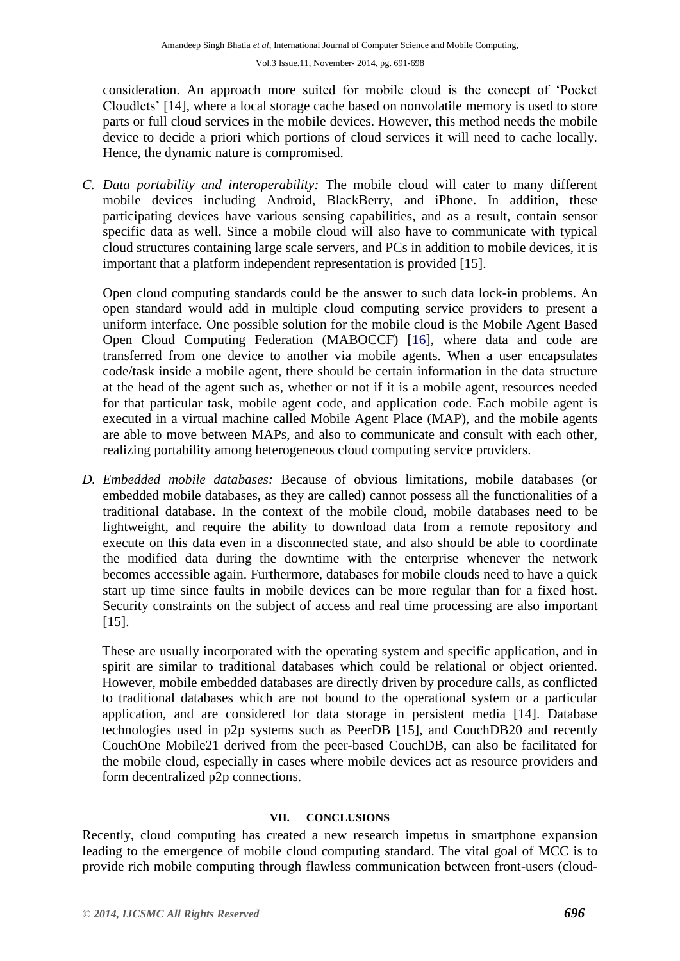consideration. An approach more suited for mobile cloud is the concept of "Pocket Cloudlets" [14], where a local storage cache based on nonvolatile memory is used to store parts or full cloud services in the mobile devices. However, this method needs the mobile device to decide a priori which portions of cloud services it will need to cache locally. Hence, the dynamic nature is compromised.

*C. Data portability and interoperability:* The mobile cloud will cater to many different mobile devices including Android, BlackBerry, and iPhone. In addition, these participating devices have various sensing capabilities, and as a result, contain sensor specific data as well. Since a mobile cloud will also have to communicate with typical cloud structures containing large scale servers, and PCs in addition to mobile devices, it is important that a platform independent representation is provided [15].

Open cloud computing standards could be the answer to such data lock-in problems. An open standard would add in multiple cloud computing service providers to present a uniform interface. One possible solution for the mobile cloud is the Mobile Agent Based Open Cloud Computing Federation (MABOCCF) [16], where data and code are transferred from one device to another via mobile agents. When a user encapsulates code/task inside a mobile agent, there should be certain information in the data structure at the head of the agent such as, whether or not if it is a mobile agent, resources needed for that particular task, mobile agent code, and application code. Each mobile agent is executed in a virtual machine called Mobile Agent Place (MAP), and the mobile agents are able to move between MAPs, and also to communicate and consult with each other, realizing portability among heterogeneous cloud computing service providers.

*D. Embedded mobile databases:* Because of obvious limitations, mobile databases (or embedded mobile databases, as they are called) cannot possess all the functionalities of a traditional database. In the context of the mobile cloud, mobile databases need to be lightweight, and require the ability to download data from a remote repository and execute on this data even in a disconnected state, and also should be able to coordinate the modified data during the downtime with the enterprise whenever the network becomes accessible again. Furthermore, databases for mobile clouds need to have a quick start up time since faults in mobile devices can be more regular than for a fixed host. Security constraints on the subject of access and real time processing are also important [15].

These are usually incorporated with the operating system and specific application, and in spirit are similar to traditional databases which could be relational or object oriented. However, mobile embedded databases are directly driven by procedure calls, as conflicted to traditional databases which are not bound to the operational system or a particular application, and are considered for data storage in persistent media [14]. Database technologies used in p2p systems such as PeerDB [15], and CouchDB20 and recently CouchOne Mobile21 derived from the peer-based CouchDB, can also be facilitated for the mobile cloud, especially in cases where mobile devices act as resource providers and form decentralized p2p connections.

# **VII. CONCLUSIONS**

Recently, cloud computing has created a new research impetus in smartphone expansion leading to the emergence of mobile cloud computing standard. The vital goal of MCC is to provide rich mobile computing through flawless communication between front-users (cloud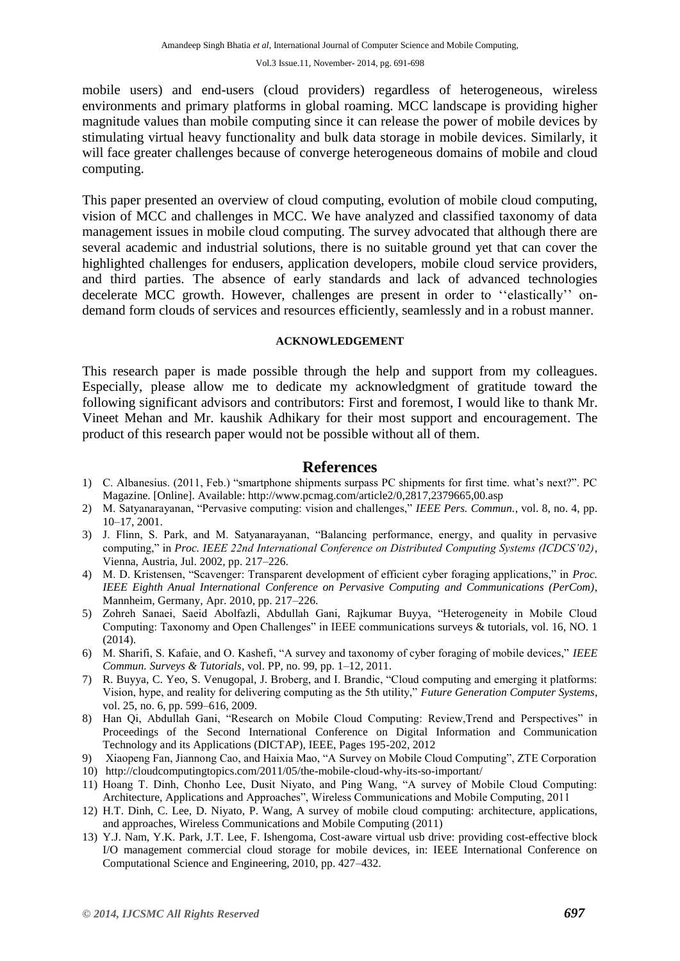mobile users) and end-users (cloud providers) regardless of heterogeneous, wireless environments and primary platforms in global roaming. MCC landscape is providing higher magnitude values than mobile computing since it can release the power of mobile devices by stimulating virtual heavy functionality and bulk data storage in mobile devices. Similarly, it will face greater challenges because of converge heterogeneous domains of mobile and cloud computing.

This paper presented an overview of cloud computing, evolution of mobile cloud computing, vision of MCC and challenges in MCC. We have analyzed and classified taxonomy of data management issues in mobile cloud computing. The survey advocated that although there are several academic and industrial solutions, there is no suitable ground yet that can cover the highlighted challenges for endusers, application developers, mobile cloud service providers, and third parties. The absence of early standards and lack of advanced technologies decelerate MCC growth. However, challenges are present in order to "elastically" ondemand form clouds of services and resources efficiently, seamlessly and in a robust manner.

#### **ACKNOWLEDGEMENT**

This research paper is made possible through the help and support from my colleagues. Especially, please allow me to dedicate my acknowledgment of gratitude toward the following significant advisors and contributors: First and foremost, I would like to thank Mr. Vineet Mehan and Mr. kaushik Adhikary for their most support and encouragement. The product of this research paper would not be possible without all of them.

#### **References**

- 1) C. Albanesius. (2011, Feb.) "smartphone shipments surpass PC shipments for first time. what"s next?". PC Magazine. [Online]. Available: http://www.pcmag.com/article2/0,2817,2379665,00.asp
- 2) M. Satyanarayanan, "Pervasive computing: vision and challenges," *IEEE Pers. Commun.*, vol. 8, no. 4, pp. 10–17, 2001.
- 3) J. Flinn, S. Park, and M. Satyanarayanan, "Balancing performance, energy, and quality in pervasive computing," in *Proc. IEEE 22nd International Conference on Distributed Computing Systems (ICDCS'02)*, Vienna, Austria, Jul. 2002, pp. 217–226.
- 4) M. D. Kristensen, "Scavenger: Transparent development of efficient cyber foraging applications," in *Proc. IEEE Eighth Anual International Conference on Pervasive Computing and Communications (PerCom)*, Mannheim, Germany, Apr. 2010, pp. 217–226.
- 5) Zohreh Sanaei, Saeid Abolfazli, Abdullah Gani, Rajkumar Buyya, "Heterogeneity in Mobile Cloud Computing: Taxonomy and Open Challenges" in IEEE communications surveys & tutorials, vol. 16, NO. 1 (2014).
- 6) M. Sharifi, S. Kafaie, and O. Kashefi, "A survey and taxonomy of cyber foraging of mobile devices," *IEEE Commun. Surveys & Tutorials*, vol. PP, no. 99, pp. 1–12, 2011.
- 7) R. Buyya, C. Yeo, S. Venugopal, J. Broberg, and I. Brandic, "Cloud computing and emerging it platforms: Vision, hype, and reality for delivering computing as the 5th utility," *Future Generation Computer Systems*, vol. 25, no. 6, pp. 599–616, 2009.
- 8) Han Qi, Abdullah Gani, "Research on Mobile Cloud Computing: Review,Trend and Perspectives" in Proceedings of the Second International Conference on Digital Information and Communication Technology and its Applications (DICTAP), IEEE, Pages 195-202, 2012
- 9) Xiaopeng Fan, Jiannong Cao, and Haixia Mao, "A Survey on Mobile Cloud Computing", ZTE Corporation
- 10) http://cloudcomputingtopics.com/2011/05/the-mobile-cloud-why-its-so-important/
- 11) Hoang T. Dinh, Chonho Lee, Dusit Niyato, and Ping Wang, "A survey of Mobile Cloud Computing: Architecture, Applications and Approaches", Wireless Communications and Mobile Computing, 2011
- 12) H.T. Dinh, C. Lee, D. Niyato, P. Wang, A survey of mobile cloud computing: architecture, applications, and approaches, Wireless Communications and Mobile Computing (2011)
- 13) Y.J. Nam, Y.K. Park, J.T. Lee, F. Ishengoma, Cost-aware virtual usb drive: providing cost-effective block I/O management commercial cloud storage for mobile devices, in: IEEE International Conference on Computational Science and Engineering, 2010, pp. 427–432.